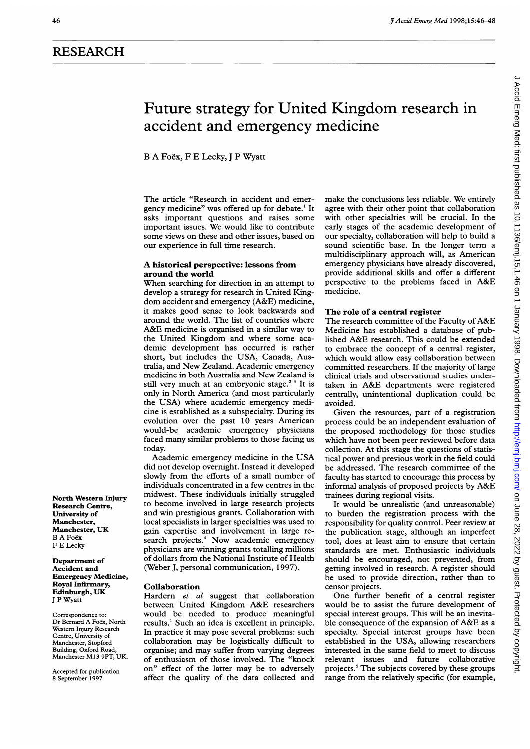# RESEARCH

# Future strategy for United Kingdom research in accident and emergency medicine

B A Foex, F E Lecky, <sup>J</sup> P Wyatt

The article "Research in accident and emergency medicine" was offered up for debate.' It asks important questions and raises some important issues. We would like to contribute some views on these and other issues, based on our experience in full time research.

# A historical perspective: lessons from around the world

When searching for direction in an attempt to develop a strategy for research in United Kingdom accident and emergency (A&E) medicine, it makes good sense to look backwards and around the world. The list of countries where A&E medicine is organised in <sup>a</sup> similar way to the United Kingdom and where some academic development has occurred is rather short, but includes the USA, Canada, Australia, and New Zealand. Academic emergency medicine in both Australia and New Zealand is still very much at an embryonic stage.<sup>23</sup> It is only in North America (and most particularly the USA) where academic emergency medicine is established as a subspecialty. During its evolution over the past 10 years American would-be academic emergency physicians faced many similar problems to those facing us today.

Academic emergency medicine in the USA did not develop overnight. Instead it developed slowly from the efforts of a small number of individuals concentrated in a few centres in the midwest. These individuals initially struggled to become involved in large research projects and win prestigious grants. Collaboration with local specialists in larger specialties was used to gain expertise and involvement in large research projects.<sup>4</sup> Now academic emergency physicians are winning grants totalling millions of dollars from the National Institute of Health (Weber J, personal communication, 1997).

#### Collaboration

Hardern et al suggest that collaboration between United Kingdom A&E researchers would be needed to produce meaningful results.' Such an idea is excellent in principle. In practice it may pose several problems: such collaboration may be logistically difficult to organise; and may suffer from varying degrees of enthusiasm of those involved. The "knock on" effect of the latter may be to adversely affect the quality of the data collected and

make the conclusions less reliable. We entirely agree with their other point that collaboration with other specialties will be crucial. In the early stages of the academic development of our specialty, collaboration will help to build a sound scientific base. In the longer term a multidisciplinary approach will, as American emergency physicians have already discovered, provide additional skills and offer a different perspective to the problems faced in A&E medicine.

# The role of a central register

The research committee of the Faculty of A&E Medicine has established a database of published A&E research. This could be extended to embrace the concept of a central register, which would allow easy collaboration between committed researchers. If the majority of large clinical trials and observational studies undertaken in A&E departments were registered centrally, unintentional duplication could be avoided.

Given the resources, part of a registration process could be an independent evaluation of the proposed methodology for those studies which have not been peer reviewed before data collection. At this stage the questions of statistical power and previous work in the field could be addressed. The research committee of the faculty has started to encourage this process by informal analysis of proposed projects by A&E trainees during regional visits.

It would be unrealistic (and unreasonable) to burden the registration process with the responsibility for quality control. Peer review at the publication stage, although an imperfect tool, does at least aim to ensure that certain standards are met. Enthusiastic individuals should be encouraged, not prevented, from getting involved in research. A register should be used to provide direction, rather than to censor projects.

One further benefit of a central register would be to assist the future development of special interest groups. This will be an inevitable consequence of the expansion of A&E as a specialty. Special interest groups have been established in the USA, allowing researchers interested in the same field to meet to discuss relevant issues and future collaborative projects.<sup>5</sup> The subjects covered by these groups range from the relatively specific (for example,

North Western Injury Research Centre, University of Manchester, Manchester, UK B A Foex F E Lecky

Department of Accident and Emergency Medicine, Royal Infirmary, Edinburgh, UK <sup>J</sup> P Wyatt

Correspondence to: Dr Bernard A Foex, North Western Injury Research Centre, University of Manchester, Stopford Building, Oxford Road, Manchester M13 9PT, UK.

Accepted for publication 8 September 1997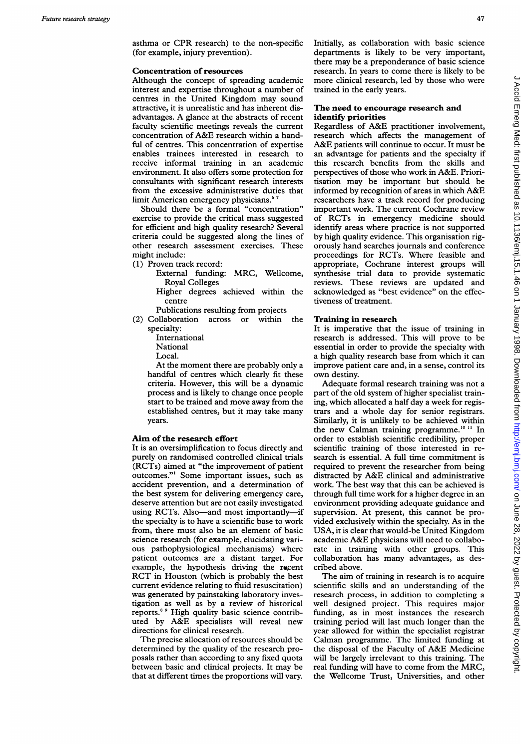asthma or CPR research) to the non-specific (for example, injury prevention).

#### Concentration of resources

Although the concept of spreading academic interest and expertise throughout a number of centres in the United Kingdom may sound attractive, it is unrealistic and has inherent disadvantages. A glance at the abstracts of recent faculty scientific meetings reveals the current concentration of A&E research within <sup>a</sup> handful of centres. This concentration of expertise enables trainees interested in research to receive informal training in an academic environment. It also offers some protection for consultants with significant research interests from the excessive administrative duties that limit American emergency physicians.<sup>6</sup>

Should there be a formal "concentration" exercise to provide the critical mass suggested for efficient and high quality research? Several criteria could be suggested along the lines of other research assessment exercises. These might include:

- (1) Proven track record:
	- External funding: MRC, Wellcome, Royal Colleges

Higher degrees achieved within the centre

Publications resulting from projects

- (2) Collaboration across or within the specialty:
	- International National
	- Local.

At the moment there are probably only a handful of centres which clearly fit these criteria. However, this will be a dynamic process and is likely to change once people start to be trained and move away from the established centres, but it may take many years.

## Aim of the research effort

It is an oversimplification to focus directly and purely on randomised controlled clinical trials (RCTs) aimed at "the improvement of patient outcomes."' Some important issues, such as accident prevention, and a determination of the best system for delivering emergency care, deserve attention but are not easily investigated using RCTs. Also-and most importantly-if the specialty is to have a scientific base to work from, there must also be an element of basic science research (for example, elucidating various pathophysiological mechanisms) where patient outcomes are a distant target. For example, the hypothesis driving the recent RCT in Houston (which is probably the best current evidence relating to fluid resuscitation) was generated by painstaking laboratory investigation as well as by a review of historical reports.8 <sup>9</sup> High quality basic science contributed by A&E specialists will reveal new directions for clinical research.

The precise allocation of resources should be determined by the quality of the research proposals rather than according to any fixed quota between basic and clinical projects. It may be that at different times the proportions will vary.

Initially, as collaboration with basic science departments is likely to be very important, there may be a preponderance of basic science research. In years to come there is likely to be more clinical research, led by those who were trained in the early years.

# The need to encourage research and identify priorities

Regardless of A&E practitioner involvement, research which affects the management of A&E patients will continue to occur. It must be an advantage for patients and the specialty if this research benefits from the skills and perspectives of those who work in A&E. Prioritisation may be important but should be informed by recognition of areas in which A&E researchers have a track record for producing important work. The current Cochrane review of RCTs in emergency medicine should identify areas where practice is not supported by high quality evidence. This organisation rigorously hand searches journals and conference proceedings for RCTs. Where feasible and appropriate, Cochrane interest groups will synthesise trial data to provide systematic reviews. These reviews are updated and acknowledged as "best evidence" on the effectiveness of treatment.

# Training in research

It is imperative that the issue of training in research is addressed. This will prove to be essential in order to provide the specialty with a high quality research base from which it can improve patient care and, in a sense, control its own destiny.

Adequate formal research training was not a part of the old system of higher specialist training, which allocated a half day a week for registrars and a whole day for senior registrars. Similarly, it is unlikely to be achieved within the new Calman training programme.<sup>10 11</sup> In order to establish scientific credibility, proper scientific training of those interested in research is essential. A full time commitment is required to prevent the researcher from being distracted by A&E clinical and administrative work. The best way that this can be achieved is through full time work for a higher degree in an environment providing adequate guidance and supervision. At present, this cannot be provided exclusively within the specialty. As in the USA, it is clear that would-be United Kingdom academic A&E physicians will need to collaborate in training with other groups. This collaboration has many advantages, as described above.

The aim of training in research is to acquire scientific skills and an understanding of the research process, in addition to completing a well designed project. This requires major funding, as in most instances the research training period will last much longer than the year allowed for within the specialist registrar Calman programme. The limited funding at the disposal of the Faculty of A&E Medicine will be largely irrelevant to this training. The real funding will have to come from the MRC, the Wellcome Trust, Universities, and other